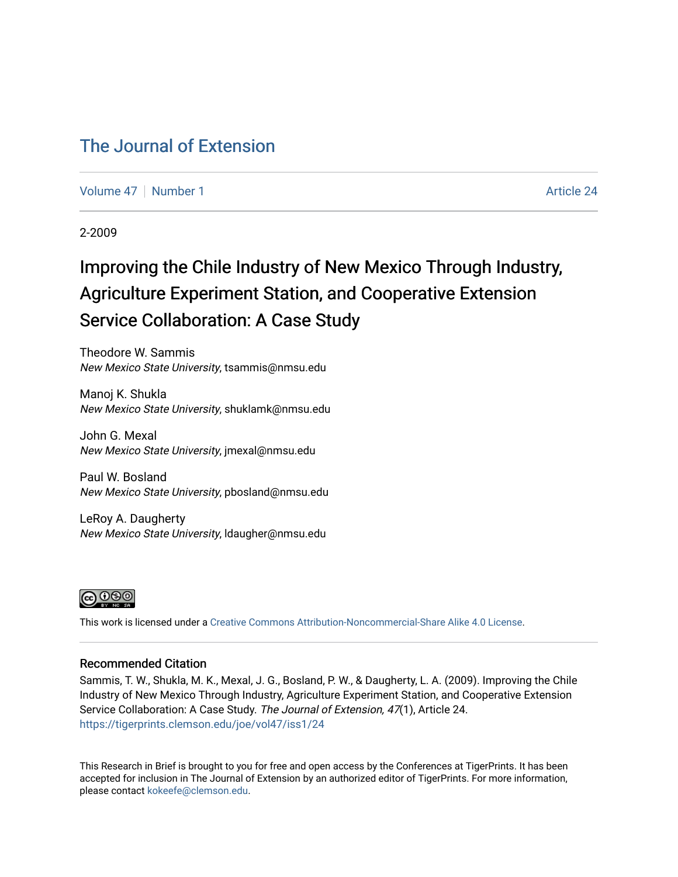#### [The Journal of Extension](https://tigerprints.clemson.edu/joe)

[Volume 47](https://tigerprints.clemson.edu/joe/vol47) | [Number 1](https://tigerprints.clemson.edu/joe/vol47/iss1) Article 24

2-2009

## Improving the Chile Industry of New Mexico Through Industry, Agriculture Experiment Station, and Cooperative Extension Service Collaboration: A Case Study

Theodore W. Sammis New Mexico State University, tsammis@nmsu.edu

Manoj K. Shukla New Mexico State University, shuklamk@nmsu.edu

John G. Mexal New Mexico State University, jmexal@nmsu.edu

Paul W. Bosland New Mexico State University, pbosland@nmsu.edu

LeRoy A. Daugherty New Mexico State University, ldaugher@nmsu.edu



This work is licensed under a [Creative Commons Attribution-Noncommercial-Share Alike 4.0 License.](https://creativecommons.org/licenses/by-nc-sa/4.0/)

#### Recommended Citation

Sammis, T. W., Shukla, M. K., Mexal, J. G., Bosland, P. W., & Daugherty, L. A. (2009). Improving the Chile Industry of New Mexico Through Industry, Agriculture Experiment Station, and Cooperative Extension Service Collaboration: A Case Study. The Journal of Extension, 47(1), Article 24. <https://tigerprints.clemson.edu/joe/vol47/iss1/24>

This Research in Brief is brought to you for free and open access by the Conferences at TigerPrints. It has been accepted for inclusion in The Journal of Extension by an authorized editor of TigerPrints. For more information, please contact [kokeefe@clemson.edu](mailto:kokeefe@clemson.edu).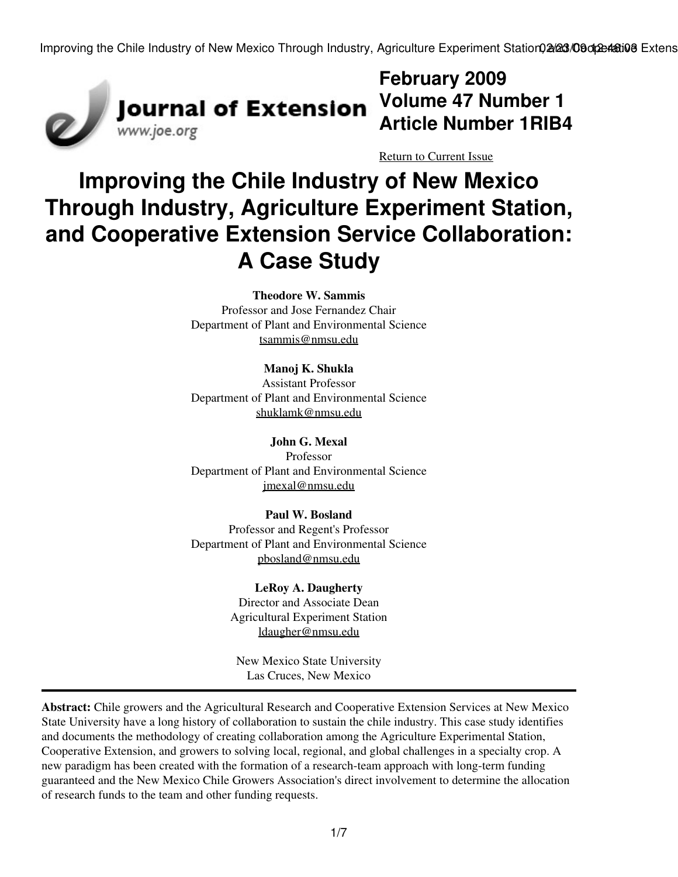Improving the Chile Industry of New Mexico Through Industry, Agriculture Experiment Station02/23/09 on 24:03/09 Extens



**February 2009 Volume 47 Number 1 Article Number 1RIB4**

[Return to Current Issue](http://www.joe.org:80/joe/2009february/)

# **Improving the Chile Industry of New Mexico Through Industry, Agriculture Experiment Station, and Cooperative Extension Service Collaboration: A Case Study**

**Theodore W. Sammis**

Professor and Jose Fernandez Chair Department of Plant and Environmental Science [tsammis@nmsu.edu](mailto:tsammis@nmsu.edu)

**Manoj K. Shukla** Assistant Professor Department of Plant and Environmental Science [shuklamk@nmsu.edu](mailto:shuklamk@nmsu.edu)

**John G. Mexal** Professor Department of Plant and Environmental Science [jmexal@nmsu.edu](mailto:jmexal@nmsu.edu)

**Paul W. Bosland** Professor and Regent's Professor Department of Plant and Environmental Science [pbosland@nmsu.edu](mailto:pbosland@nmsu.edu)

> **LeRoy A. Daugherty** Director and Associate Dean Agricultural Experiment Station [ldaugher@nmsu.edu](mailto:ldaugher@nmsu.edu)

New Mexico State University Las Cruces, New Mexico

**Abstract:** Chile growers and the Agricultural Research and Cooperative Extension Services at New Mexico State University have a long history of collaboration to sustain the chile industry. This case study identifies and documents the methodology of creating collaboration among the Agriculture Experimental Station, Cooperative Extension, and growers to solving local, regional, and global challenges in a specialty crop. A new paradigm has been created with the formation of a research-team approach with long-term funding guaranteed and the New Mexico Chile Growers Association's direct involvement to determine the allocation of research funds to the team and other funding requests.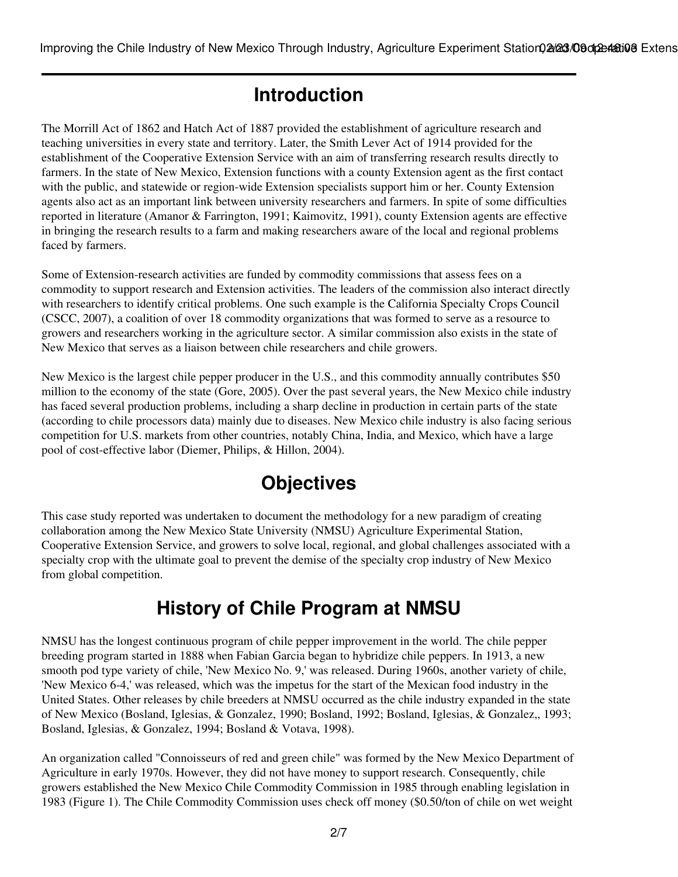## **Introduction**

The Morrill Act of 1862 and Hatch Act of 1887 provided the establishment of agriculture research and teaching universities in every state and territory. Later, the Smith Lever Act of 1914 provided for the establishment of the Cooperative Extension Service with an aim of transferring research results directly to farmers. In the state of New Mexico, Extension functions with a county Extension agent as the first contact with the public, and statewide or region-wide Extension specialists support him or her. County Extension agents also act as an important link between university researchers and farmers. In spite of some difficulties reported in literature (Amanor & Farrington, 1991; Kaimovitz, 1991), county Extension agents are effective in bringing the research results to a farm and making researchers aware of the local and regional problems faced by farmers.

Some of Extension-research activities are funded by commodity commissions that assess fees on a commodity to support research and Extension activities. The leaders of the commission also interact directly with researchers to identify critical problems. One such example is the California Specialty Crops Council (CSCC, 2007), a coalition of over 18 commodity organizations that was formed to serve as a resource to growers and researchers working in the agriculture sector. A similar commission also exists in the state of New Mexico that serves as a liaison between chile researchers and chile growers.

New Mexico is the largest chile pepper producer in the U.S., and this commodity annually contributes \$50 million to the economy of the state (Gore, 2005). Over the past several years, the New Mexico chile industry has faced several production problems, including a sharp decline in production in certain parts of the state (according to chile processors data) mainly due to diseases. New Mexico chile industry is also facing serious competition for U.S. markets from other countries, notably China, India, and Mexico, which have a large pool of cost-effective labor (Diemer, Philips, & Hillon, 2004).

## **Objectives**

This case study reported was undertaken to document the methodology for a new paradigm of creating collaboration among the New Mexico State University (NMSU) Agriculture Experimental Station, Cooperative Extension Service, and growers to solve local, regional, and global challenges associated with a specialty crop with the ultimate goal to prevent the demise of the specialty crop industry of New Mexico from global competition.

## **History of Chile Program at NMSU**

NMSU has the longest continuous program of chile pepper improvement in the world. The chile pepper breeding program started in 1888 when Fabian Garcia began to hybridize chile peppers. In 1913, a new smooth pod type variety of chile, 'New Mexico No. 9,' was released. During 1960s, another variety of chile, 'New Mexico 6-4,' was released, which was the impetus for the start of the Mexican food industry in the United States. Other releases by chile breeders at NMSU occurred as the chile industry expanded in the state of New Mexico (Bosland, Iglesias, & Gonzalez, 1990; Bosland, 1992; Bosland, Iglesias, & Gonzalez,, 1993; Bosland, Iglesias, & Gonzalez, 1994; Bosland & Votava, 1998).

An organization called "Connoisseurs of red and green chile" was formed by the New Mexico Department of Agriculture in early 1970s. However, they did not have money to support research. Consequently, chile growers established the New Mexico Chile Commodity Commission in 1985 through enabling legislation in 1983 (Figure 1). The Chile Commodity Commission uses check off money (\$0.50/ton of chile on wet weight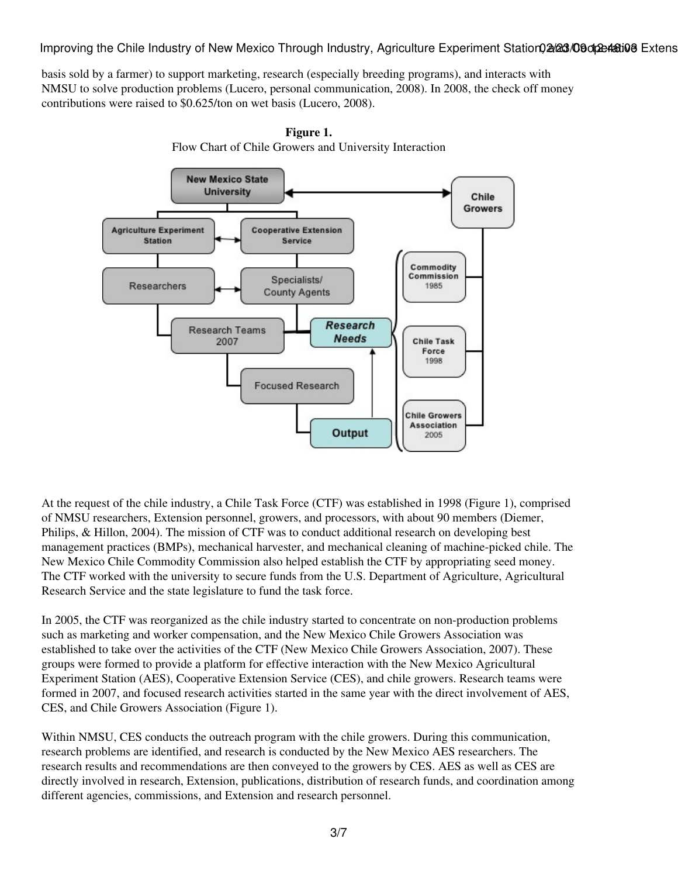Improving the Chile Industry of New Mexico Through Industry, Agriculture Experiment Station02/23/09 ot 24:019 Extens

basis sold by a farmer) to support marketing, research (especially breeding programs), and interacts with NMSU to solve production problems (Lucero, personal communication, 2008). In 2008, the check off money contributions were raised to \$0.625/ton on wet basis (Lucero, 2008).



**Figure 1.** Flow Chart of Chile Growers and University Interaction

At the request of the chile industry, a Chile Task Force (CTF) was established in 1998 (Figure 1), comprised of NMSU researchers, Extension personnel, growers, and processors, with about 90 members (Diemer, Philips, & Hillon, 2004). The mission of CTF was to conduct additional research on developing best management practices (BMPs), mechanical harvester, and mechanical cleaning of machine-picked chile. The New Mexico Chile Commodity Commission also helped establish the CTF by appropriating seed money. The CTF worked with the university to secure funds from the U.S. Department of Agriculture, Agricultural Research Service and the state legislature to fund the task force.

In 2005, the CTF was reorganized as the chile industry started to concentrate on non-production problems such as marketing and worker compensation, and the New Mexico Chile Growers Association was established to take over the activities of the CTF (New Mexico Chile Growers Association, 2007). These groups were formed to provide a platform for effective interaction with the New Mexico Agricultural Experiment Station (AES), Cooperative Extension Service (CES), and chile growers. Research teams were formed in 2007, and focused research activities started in the same year with the direct involvement of AES, CES, and Chile Growers Association (Figure 1).

Within NMSU, CES conducts the outreach program with the chile growers. During this communication, research problems are identified, and research is conducted by the New Mexico AES researchers. The research results and recommendations are then conveyed to the growers by CES. AES as well as CES are directly involved in research, Extension, publications, distribution of research funds, and coordination among different agencies, commissions, and Extension and research personnel.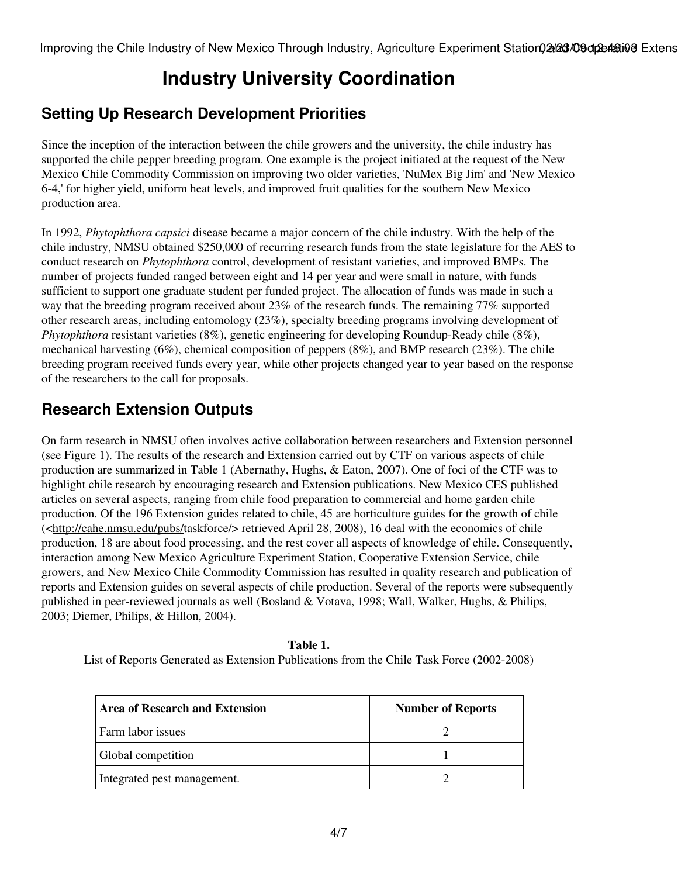# **Industry University Coordination**

#### **Setting Up Research Development Priorities**

Since the inception of the interaction between the chile growers and the university, the chile industry has supported the chile pepper breeding program. One example is the project initiated at the request of the New Mexico Chile Commodity Commission on improving two older varieties, 'NuMex Big Jim' and 'New Mexico 6-4,' for higher yield, uniform heat levels, and improved fruit qualities for the southern New Mexico production area.

In 1992, *Phytophthora capsici* disease became a major concern of the chile industry. With the help of the chile industry, NMSU obtained \$250,000 of recurring research funds from the state legislature for the AES to conduct research on *Phytophthora* control, development of resistant varieties, and improved BMPs. The number of projects funded ranged between eight and 14 per year and were small in nature, with funds sufficient to support one graduate student per funded project. The allocation of funds was made in such a way that the breeding program received about 23% of the research funds. The remaining 77% supported other research areas, including entomology (23%), specialty breeding programs involving development of *Phytophthora* resistant varieties (8%), genetic engineering for developing Roundup-Ready chile (8%), mechanical harvesting (6%), chemical composition of peppers (8%), and BMP research (23%). The chile breeding program received funds every year, while other projects changed year to year based on the response of the researchers to the call for proposals.

#### **Research Extension Outputs**

On farm research in NMSU often involves active collaboration between researchers and Extension personnel (see Figure 1). The results of the research and Extension carried out by CTF on various aspects of chile production are summarized in Table 1 (Abernathy, Hughs, & Eaton, 2007). One of foci of the CTF was to highlight chile research by encouraging research and Extension publications. New Mexico CES published articles on several aspects, ranging from chile food preparation to commercial and home garden chile production. Of the 196 Extension guides related to chile, 45 are horticulture guides for the growth of chile (<<http://cahe.nmsu.edu/pubs/>taskforce/> retrieved April 28, 2008), 16 deal with the economics of chile production, 18 are about food processing, and the rest cover all aspects of knowledge of chile. Consequently, interaction among New Mexico Agriculture Experiment Station, Cooperative Extension Service, chile growers, and New Mexico Chile Commodity Commission has resulted in quality research and publication of reports and Extension guides on several aspects of chile production. Several of the reports were subsequently published in peer-reviewed journals as well (Bosland & Votava, 1998; Wall, Walker, Hughs, & Philips, 2003; Diemer, Philips, & Hillon, 2004).

**Table 1.**

List of Reports Generated as Extension Publications from the Chile Task Force (2002-2008)

| Area of Research and Extension | <b>Number of Reports</b> |
|--------------------------------|--------------------------|
| Farm labor issues              |                          |
| Global competition             |                          |
| Integrated pest management.    |                          |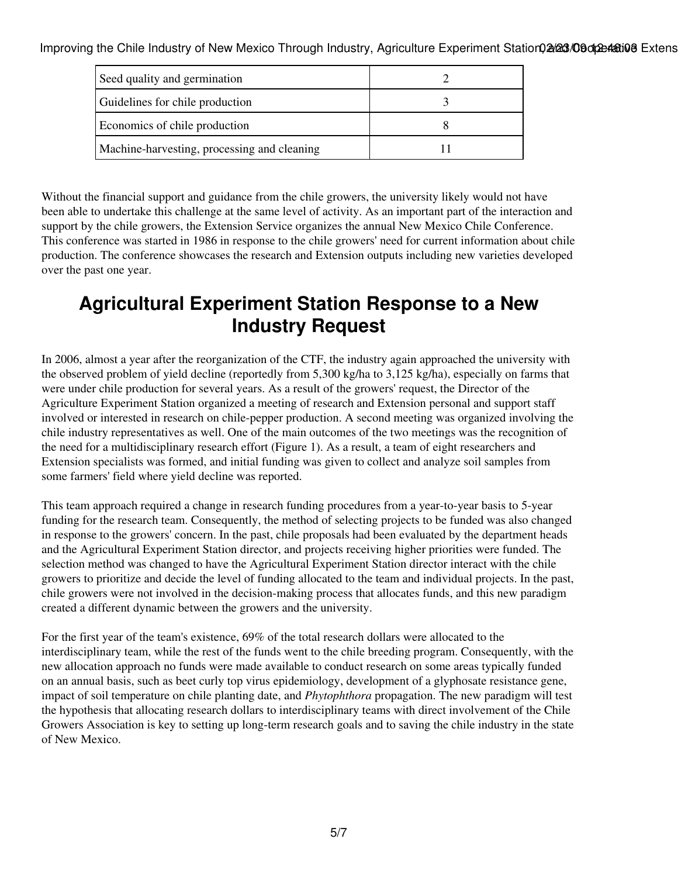Improving the Chile Industry of New Mexico Through Industry, Agriculture Experiment Station, 2/23/09 on 24:03

| Seed quality and germination                |  |
|---------------------------------------------|--|
| Guidelines for chile production             |  |
| Economics of chile production               |  |
| Machine-harvesting, processing and cleaning |  |

Without the financial support and guidance from the chile growers, the university likely would not have been able to undertake this challenge at the same level of activity. As an important part of the interaction and support by the chile growers, the Extension Service organizes the annual New Mexico Chile Conference. This conference was started in 1986 in response to the chile growers' need for current information about chile production. The conference showcases the research and Extension outputs including new varieties developed over the past one year.

## **Agricultural Experiment Station Response to a New Industry Request**

In 2006, almost a year after the reorganization of the CTF, the industry again approached the university with the observed problem of yield decline (reportedly from 5,300 kg/ha to 3,125 kg/ha), especially on farms that were under chile production for several years. As a result of the growers' request, the Director of the Agriculture Experiment Station organized a meeting of research and Extension personal and support staff involved or interested in research on chile-pepper production. A second meeting was organized involving the chile industry representatives as well. One of the main outcomes of the two meetings was the recognition of the need for a multidisciplinary research effort (Figure 1). As a result, a team of eight researchers and Extension specialists was formed, and initial funding was given to collect and analyze soil samples from some farmers' field where yield decline was reported.

This team approach required a change in research funding procedures from a year-to-year basis to 5-year funding for the research team. Consequently, the method of selecting projects to be funded was also changed in response to the growers' concern. In the past, chile proposals had been evaluated by the department heads and the Agricultural Experiment Station director, and projects receiving higher priorities were funded. The selection method was changed to have the Agricultural Experiment Station director interact with the chile growers to prioritize and decide the level of funding allocated to the team and individual projects. In the past, chile growers were not involved in the decision-making process that allocates funds, and this new paradigm created a different dynamic between the growers and the university.

For the first year of the team's existence, 69% of the total research dollars were allocated to the interdisciplinary team, while the rest of the funds went to the chile breeding program. Consequently, with the new allocation approach no funds were made available to conduct research on some areas typically funded on an annual basis, such as beet curly top virus epidemiology, development of a glyphosate resistance gene, impact of soil temperature on chile planting date, and *Phytophthora* propagation. The new paradigm will test the hypothesis that allocating research dollars to interdisciplinary teams with direct involvement of the Chile Growers Association is key to setting up long-term research goals and to saving the chile industry in the state of New Mexico.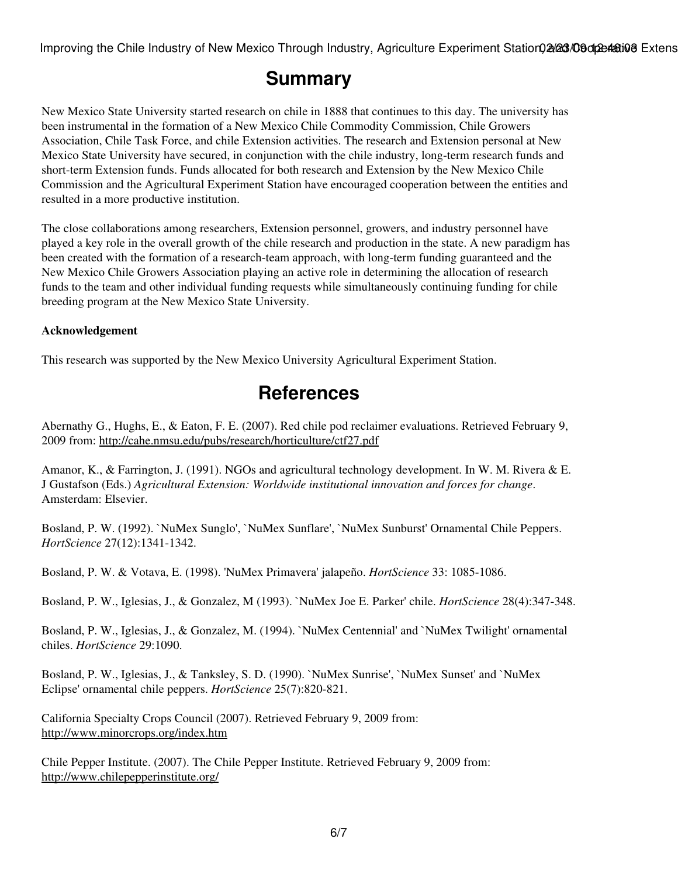Improving the Chile Industry of New Mexico Through Industry, Agriculture Experiment Station, 2/23/09 on 24:03

### **Summary**

New Mexico State University started research on chile in 1888 that continues to this day. The university has been instrumental in the formation of a New Mexico Chile Commodity Commission, Chile Growers Association, Chile Task Force, and chile Extension activities. The research and Extension personal at New Mexico State University have secured, in conjunction with the chile industry, long-term research funds and short-term Extension funds. Funds allocated for both research and Extension by the New Mexico Chile Commission and the Agricultural Experiment Station have encouraged cooperation between the entities and resulted in a more productive institution.

The close collaborations among researchers, Extension personnel, growers, and industry personnel have played a key role in the overall growth of the chile research and production in the state. A new paradigm has been created with the formation of a research-team approach, with long-term funding guaranteed and the New Mexico Chile Growers Association playing an active role in determining the allocation of research funds to the team and other individual funding requests while simultaneously continuing funding for chile breeding program at the New Mexico State University.

#### **Acknowledgement**

This research was supported by the New Mexico University Agricultural Experiment Station.

### **References**

Abernathy G., Hughs, E., & Eaton, F. E. (2007). Red chile pod reclaimer evaluations. Retrieved February 9, 2009 from: <http://cahe.nmsu.edu/pubs/research/horticulture/ctf27.pdf>

Amanor, K., & Farrington, J. (1991). NGOs and agricultural technology development. In W. M. Rivera & E. J Gustafson (Eds.) *Agricultural Extension: Worldwide institutional innovation and forces for change*. Amsterdam: Elsevier.

Bosland, P. W. (1992). `NuMex Sunglo', `NuMex Sunflare', `NuMex Sunburst' Ornamental Chile Peppers. *HortScience* 27(12):1341-1342.

Bosland, P. W. & Votava, E. (1998). 'NuMex Primavera' jalapeño. *HortScience* 33: 1085-1086.

Bosland, P. W., Iglesias, J., & Gonzalez, M (1993). `NuMex Joe E. Parker' chile. *HortScience* 28(4):347-348.

Bosland, P. W., Iglesias, J., & Gonzalez, M. (1994). `NuMex Centennial' and `NuMex Twilight' ornamental chiles. *HortScience* 29:1090.

Bosland, P. W., Iglesias, J., & Tanksley, S. D. (1990). `NuMex Sunrise', `NuMex Sunset' and `NuMex Eclipse' ornamental chile peppers. *HortScience* 25(7):820-821.

California Specialty Crops Council (2007). Retrieved February 9, 2009 from: <http://www.minorcrops.org/index.htm>

Chile Pepper Institute. (2007). The Chile Pepper Institute. Retrieved February 9, 2009 from: <http://www.chilepepperinstitute.org/>